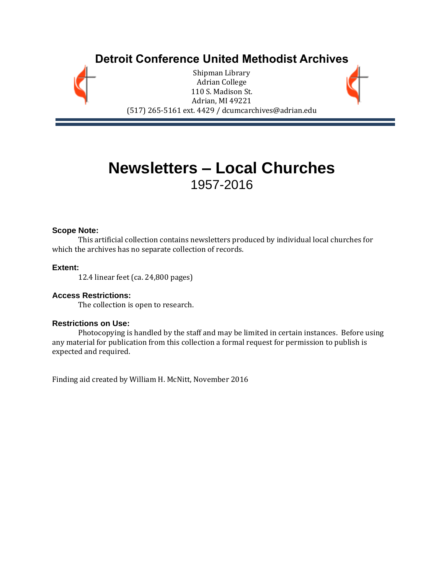## **Detroit Conference United Methodist Archives**

Shipman Library Adrian College 110 S. Madison St. Adrian, MI 49221 (517) 265-5161 ext. 4429 / dcumcarchives@adrian.edu

# **Newsletters – Local Churches** 1957-2016

#### **Scope Note:**

This artificial collection contains newsletters produced by individual local churches for which the archives has no separate collection of records.

#### **Extent:**

12.4 linear feet (ca. 24,800 pages)

#### **Access Restrictions:**

The collection is open to research.

#### **Restrictions on Use:**

Photocopying is handled by the staff and may be limited in certain instances. Before using any material for publication from this collection a formal request for permission to publish is expected and required.

Finding aid created by William H. McNitt, November 2016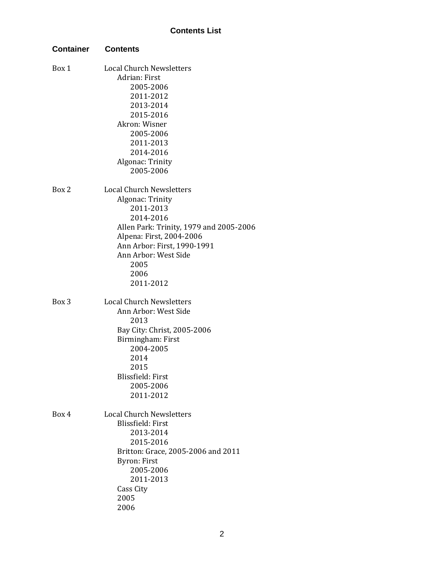| <b>Container</b> | <b>Contents</b>                         |
|------------------|-----------------------------------------|
| Box 1            | <b>Local Church Newsletters</b>         |
|                  | Adrian: First                           |
|                  | 2005-2006                               |
|                  | 2011-2012                               |
|                  | 2013-2014                               |
|                  | 2015-2016                               |
|                  | Akron: Wisner                           |
|                  | 2005-2006                               |
|                  | 2011-2013                               |
|                  | 2014-2016                               |
|                  | Algonac: Trinity                        |
|                  | 2005-2006                               |
| Box 2            | <b>Local Church Newsletters</b>         |
|                  | Algonac: Trinity                        |
|                  | 2011-2013                               |
|                  | 2014-2016                               |
|                  | Allen Park: Trinity, 1979 and 2005-2006 |
|                  | Alpena: First, 2004-2006                |
|                  | Ann Arbor: First, 1990-1991             |
|                  | Ann Arbor: West Side                    |
|                  | 2005                                    |
|                  | 2006                                    |
|                  | 2011-2012                               |
| Box 3            | <b>Local Church Newsletters</b>         |
|                  | Ann Arbor: West Side                    |
|                  | 2013                                    |
|                  | Bay City: Christ, 2005-2006             |
|                  | Birmingham: First                       |
|                  | 2004-2005                               |
|                  | 2014                                    |
|                  | 2015                                    |
|                  | Blissfield: First                       |
|                  | 2005-2006                               |
|                  | 2011-2012                               |
| Box 4            | <b>Local Church Newsletters</b>         |
|                  | Blissfield: First                       |
|                  | 2013-2014                               |
|                  | 2015-2016                               |
|                  | Britton: Grace, 2005-2006 and 2011      |
|                  | <b>Byron: First</b>                     |
|                  | 2005-2006                               |
|                  | 2011-2013                               |
|                  | Cass City                               |
|                  | 2005                                    |
|                  | 2006                                    |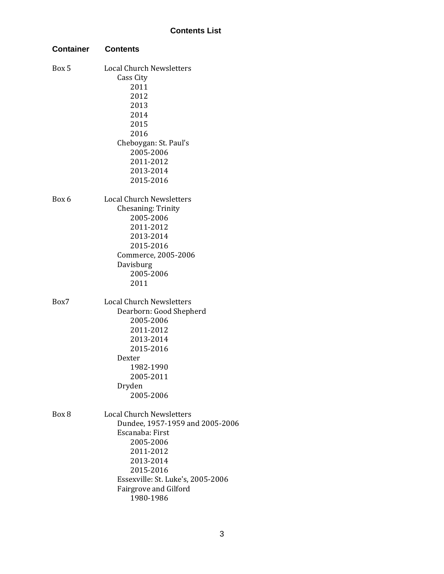| <b>Container</b> | Contents                          |
|------------------|-----------------------------------|
| Box 5            | <b>Local Church Newsletters</b>   |
|                  | Cass City                         |
|                  | 2011                              |
|                  | 2012                              |
|                  | 2013                              |
|                  | 2014                              |
|                  | 2015                              |
|                  | 2016                              |
|                  | Cheboygan: St. Paul's             |
|                  | 2005-2006                         |
|                  | 2011-2012                         |
|                  | 2013-2014                         |
|                  | 2015-2016                         |
| Box 6            | <b>Local Church Newsletters</b>   |
|                  | <b>Chesaning: Trinity</b>         |
|                  | 2005-2006                         |
|                  | 2011-2012                         |
|                  | 2013-2014                         |
|                  | 2015-2016                         |
|                  | Commerce, 2005-2006               |
|                  | Davisburg                         |
|                  | 2005-2006                         |
|                  | 2011                              |
| Box7             | <b>Local Church Newsletters</b>   |
|                  | Dearborn: Good Shepherd           |
|                  | 2005-2006                         |
|                  | 2011-2012                         |
|                  | 2013-2014                         |
|                  | 2015-2016                         |
|                  | Dexter                            |
|                  | 1982-1990                         |
|                  | 2005-2011                         |
|                  | Dryden                            |
|                  | 2005-2006                         |
| Box 8            | <b>Local Church Newsletters</b>   |
|                  | Dundee, 1957-1959 and 2005-2006   |
|                  | Escanaba: First                   |
|                  | 2005-2006                         |
|                  | 2011-2012                         |
|                  | 2013-2014                         |
|                  | 2015-2016                         |
|                  | Essexville: St. Luke's, 2005-2006 |
|                  | Fairgrove and Gilford             |
|                  | 1980-1986                         |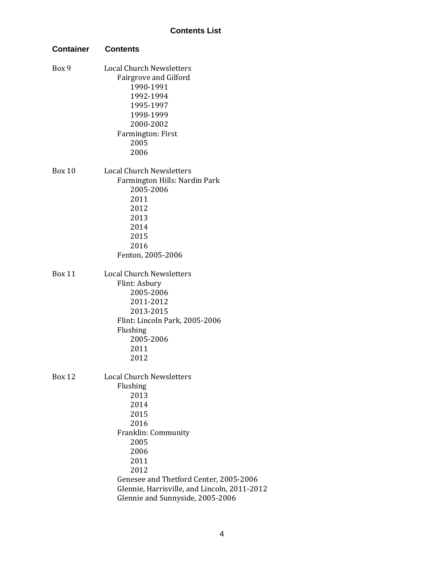| <b>Container</b> | <b>Contents</b>                              |
|------------------|----------------------------------------------|
| Box 9            | <b>Local Church Newsletters</b>              |
|                  | Fairgrove and Gilford                        |
|                  | 1990-1991                                    |
|                  | 1992-1994                                    |
|                  | 1995-1997                                    |
|                  | 1998-1999                                    |
|                  | 2000-2002                                    |
|                  | Farmington: First                            |
|                  | 2005                                         |
|                  | 2006                                         |
| Box 10           | <b>Local Church Newsletters</b>              |
|                  | Farmington Hills: Nardin Park                |
|                  | 2005-2006                                    |
|                  | 2011                                         |
|                  | 2012                                         |
|                  | 2013                                         |
|                  | 2014                                         |
|                  | 2015                                         |
|                  | 2016                                         |
|                  | Fenton, 2005-2006                            |
| <b>Box 11</b>    | <b>Local Church Newsletters</b>              |
|                  | Flint: Asbury                                |
|                  | 2005-2006                                    |
|                  | 2011-2012                                    |
|                  | 2013-2015                                    |
|                  | Flint: Lincoln Park, 2005-2006               |
|                  | Flushing                                     |
|                  | 2005-2006                                    |
|                  | 2011                                         |
|                  | 2012                                         |
| <b>Box 12</b>    | <b>Local Church Newsletters</b>              |
|                  | Flushing                                     |
|                  | 2013                                         |
|                  | 2014                                         |
|                  | 2015                                         |
|                  | 2016                                         |
|                  | Franklin: Community                          |
|                  | 2005                                         |
|                  | 2006                                         |
|                  | 2011                                         |
|                  | 2012                                         |
|                  | Genesee and Thetford Center, 2005-2006       |
|                  | Glennie, Harrisville, and Lincoln, 2011-2012 |
|                  | Glennie and Sunnyside, 2005-2006             |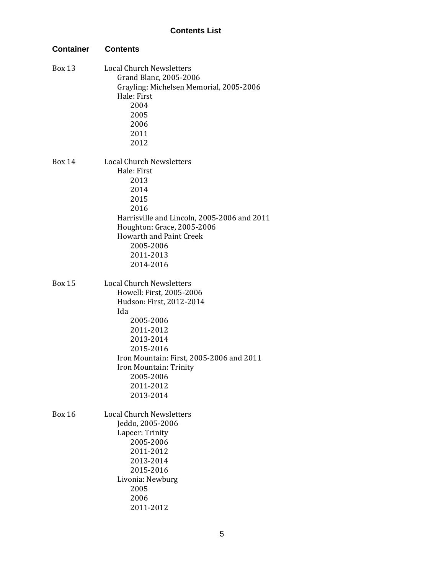| <b>Container</b> | <b>Contents</b>                                                                                                                                                                                                                                                 |
|------------------|-----------------------------------------------------------------------------------------------------------------------------------------------------------------------------------------------------------------------------------------------------------------|
| <b>Box 13</b>    | <b>Local Church Newsletters</b><br>Grand Blanc, 2005-2006<br>Grayling: Michelsen Memorial, 2005-2006<br>Hale: First<br>2004<br>2005<br>2006<br>2011<br>2012                                                                                                     |
| <b>Box 14</b>    | <b>Local Church Newsletters</b><br>Hale: First<br>2013<br>2014<br>2015<br>2016<br>Harrisville and Lincoln, 2005-2006 and 2011<br>Houghton: Grace, 2005-2006<br><b>Howarth and Paint Creek</b><br>2005-2006<br>2011-2013<br>2014-2016                            |
| <b>Box 15</b>    | <b>Local Church Newsletters</b><br>Howell: First, 2005-2006<br>Hudson: First, 2012-2014<br>Ida<br>2005-2006<br>2011-2012<br>2013-2014<br>2015-2016<br>Iron Mountain: First, 2005-2006 and 2011<br>Iron Mountain: Trinity<br>2005-2006<br>2011-2012<br>2013-2014 |
| <b>Box 16</b>    | <b>Local Church Newsletters</b><br>Jeddo, 2005-2006<br>Lapeer: Trinity<br>2005-2006<br>2011-2012<br>2013-2014<br>2015-2016<br>Livonia: Newburg<br>2005<br>2006<br>2011-2012                                                                                     |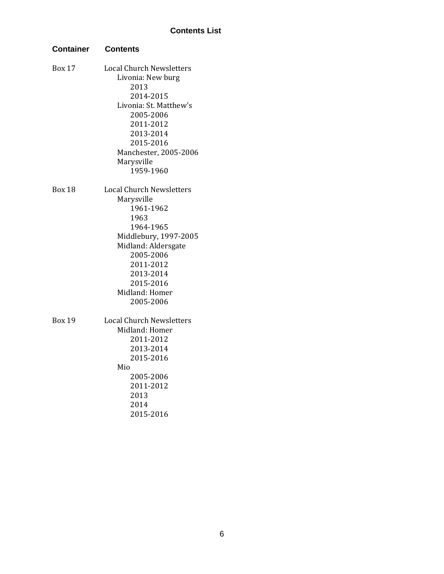| <b>Container</b> | <b>Contents</b>                                                                                                                                                                                                    |
|------------------|--------------------------------------------------------------------------------------------------------------------------------------------------------------------------------------------------------------------|
| <b>Box 17</b>    | <b>Local Church Newsletters</b><br>Livonia: New burg<br>2013<br>2014-2015<br>Livonia: St. Matthew's<br>2005-2006<br>2011-2012<br>2013-2014<br>2015-2016<br>Manchester, 2005-2006<br>Marysville<br>1959-1960        |
| <b>Box 18</b>    | <b>Local Church Newsletters</b><br>Marysville<br>1961-1962<br>1963<br>1964-1965<br>Middlebury, 1997-2005<br>Midland: Aldersgate<br>2005-2006<br>2011-2012<br>2013-2014<br>2015-2016<br>Midland: Homer<br>2005-2006 |
| <b>Box 19</b>    | <b>Local Church Newsletters</b><br>Midland: Homer<br>2011-2012<br>2013-2014<br>2015-2016<br>Mio<br>2005-2006<br>2011-2012<br>2013<br>2014<br>2015-2016                                                             |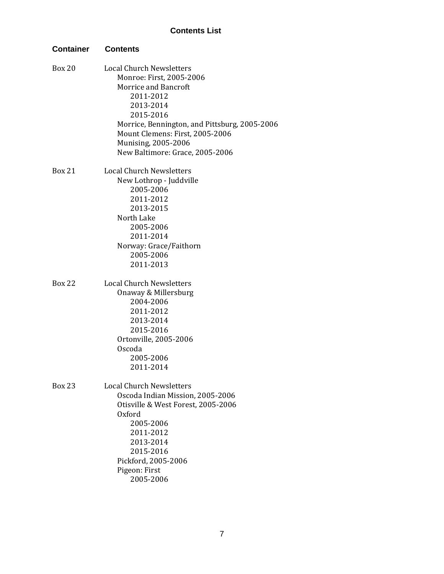| <b>Container</b> | <b>Contents</b>                                                                                                                                                                                                                                                                 |
|------------------|---------------------------------------------------------------------------------------------------------------------------------------------------------------------------------------------------------------------------------------------------------------------------------|
| <b>Box 20</b>    | <b>Local Church Newsletters</b><br>Monroe: First, 2005-2006<br><b>Morrice and Bancroft</b><br>2011-2012<br>2013-2014<br>2015-2016<br>Morrice, Bennington, and Pittsburg, 2005-2006<br>Mount Clemens: First, 2005-2006<br>Munising, 2005-2006<br>New Baltimore: Grace, 2005-2006 |
| <b>Box 21</b>    | <b>Local Church Newsletters</b><br>New Lothrop - Juddville<br>2005-2006<br>2011-2012<br>2013-2015<br>North Lake<br>2005-2006<br>2011-2014<br>Norway: Grace/Faithorn<br>2005-2006<br>2011-2013                                                                                   |
| <b>Box 22</b>    | <b>Local Church Newsletters</b><br>Onaway & Millersburg<br>2004-2006<br>2011-2012<br>2013-2014<br>2015-2016<br>Ortonville, 2005-2006<br>Oscoda<br>2005-2006<br>2011-2014                                                                                                        |
| <b>Box 23</b>    | <b>Local Church Newsletters</b><br>Oscoda Indian Mission, 2005-2006<br>Otisville & West Forest, 2005-2006<br>Oxford<br>2005-2006<br>2011-2012<br>2013-2014<br>2015-2016<br>Pickford, 2005-2006<br>Pigeon: First<br>2005-2006                                                    |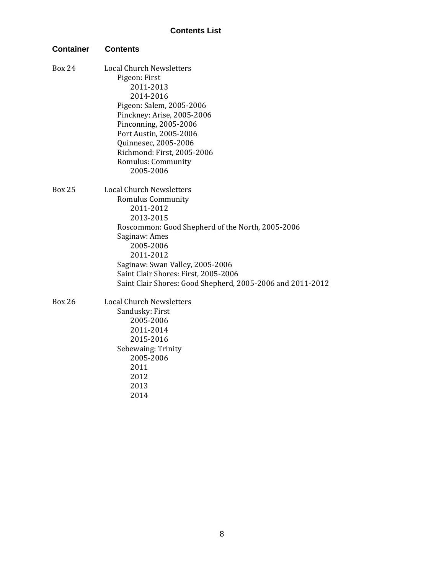| <b>Container</b> | <b>Contents</b>                                                                                                                                                                                                                                                                                                        |
|------------------|------------------------------------------------------------------------------------------------------------------------------------------------------------------------------------------------------------------------------------------------------------------------------------------------------------------------|
| <b>Box 24</b>    | <b>Local Church Newsletters</b><br>Pigeon: First<br>2011-2013<br>2014-2016<br>Pigeon: Salem, 2005-2006<br>Pinckney: Arise, 2005-2006<br>Pinconning, 2005-2006<br>Port Austin, 2005-2006<br>Quinnesec, 2005-2006<br>Richmond: First, 2005-2006<br>Romulus: Community<br>2005-2006                                       |
| <b>Box 25</b>    | <b>Local Church Newsletters</b><br>Romulus Community<br>2011-2012<br>2013-2015<br>Roscommon: Good Shepherd of the North, 2005-2006<br>Saginaw: Ames<br>2005-2006<br>2011-2012<br>Saginaw: Swan Valley, 2005-2006<br>Saint Clair Shores: First, 2005-2006<br>Saint Clair Shores: Good Shepherd, 2005-2006 and 2011-2012 |
| <b>Box 26</b>    | <b>Local Church Newsletters</b><br>Sandusky: First<br>2005-2006<br>2011-2014<br>2015-2016<br>Sebewaing: Trinity<br>2005-2006<br>2011<br>2012<br>2013<br>2014                                                                                                                                                           |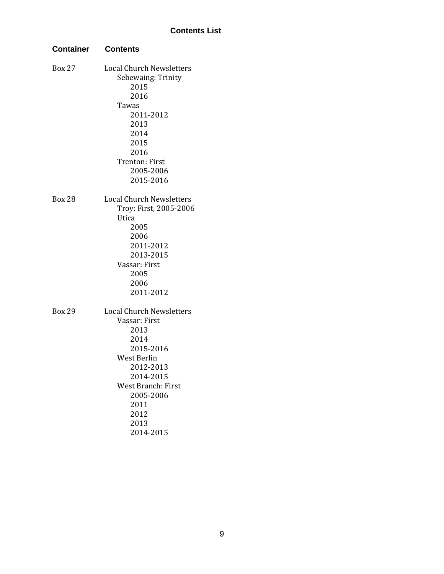| <b>Container</b> | <b>Contents</b>                 |  |
|------------------|---------------------------------|--|
| <b>Box 27</b>    | <b>Local Church Newsletters</b> |  |
|                  | Sebewaing: Trinity              |  |
|                  | 2015                            |  |
|                  | 2016                            |  |
|                  | Tawas                           |  |
|                  | 2011-2012                       |  |
|                  | 2013                            |  |
|                  | 2014                            |  |
|                  | 2015                            |  |
|                  | 2016                            |  |
|                  | Trenton: First                  |  |
|                  | 2005-2006                       |  |
|                  | 2015-2016                       |  |
| <b>Box 28</b>    | <b>Local Church Newsletters</b> |  |
|                  | Troy: First, 2005-2006          |  |
|                  | Utica                           |  |
|                  | 2005                            |  |
|                  | 2006                            |  |
|                  | 2011-2012                       |  |
|                  | 2013-2015                       |  |
|                  | Vassar: First                   |  |
|                  | 2005                            |  |
|                  | 2006                            |  |
|                  | 2011-2012                       |  |
| <b>Box 29</b>    | <b>Local Church Newsletters</b> |  |
|                  | Vassar: First                   |  |
|                  | 2013                            |  |
|                  | 2014                            |  |
|                  | 2015-2016                       |  |
|                  | West Berlin                     |  |
|                  | 2012-2013                       |  |
|                  | 2014-2015                       |  |
|                  | <b>West Branch: First</b>       |  |
|                  | 2005-2006                       |  |
|                  | 2011                            |  |
|                  | 2012                            |  |
|                  | 2013                            |  |
|                  | 2014-2015                       |  |